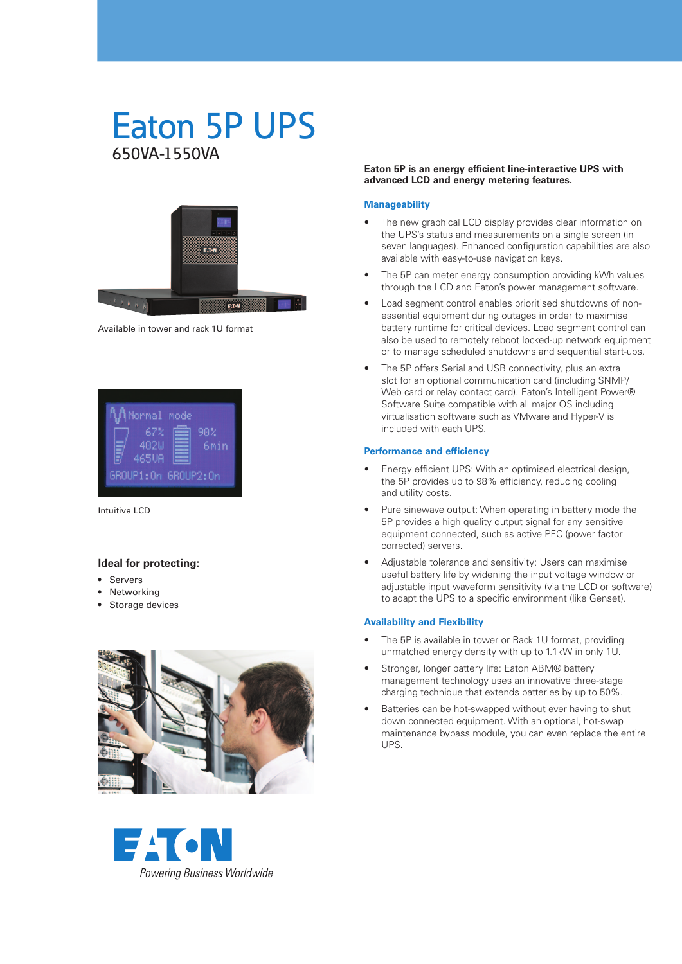# Eaton 5P UPS 650VA-1550VA



Available in tower and rack 1U format

| <b>AA</b> Normal mode<br>67%<br>402U<br>465UA | 90% | 6 <sub>min</sub> |
|-----------------------------------------------|-----|------------------|
| GROUP1:0n GROUP2:0n                           |     |                  |

Intuitive LCD

### **Ideal for protecting:**

- • Servers
- Networking
- Storage devices





#### **Eaton 5P is an energy efficient line-interactive UPS with advanced LCD and energy metering features.**

#### **Manageability**

- The new graphical LCD display provides clear information on the UPS's status and measurements on a single screen (in seven languages). Enhanced configuration capabilities are also available with easy-to-use navigation keys.
- The 5P can meter energy consumption providing kWh values through the LCD and Eaton's power management software.
- Load segment control enables prioritised shutdowns of nonessential equipment during outages in order to maximise battery runtime for critical devices. Load segment control can also be used to remotely reboot locked-up network equipment or to manage scheduled shutdowns and sequential start-ups.
- The 5P offers Serial and USB connectivity, plus an extra slot for an optional communication card (including SNMP/ Web card or relay contact card). Eaton's Intelligent Power® Software Suite compatible with all major OS including virtualisation software such as VMware and Hyper-V is included with each UPS.

#### **Performance and efficiency**

- Energy efficient UPS: With an optimised electrical design, the 5P provides up to 98% efficiency, reducing cooling and utility costs.
- Pure sinewave output: When operating in battery mode the 5P provides a high quality output signal for any sensitive equipment connected, such as active PFC (power factor corrected) servers.
- Adjustable tolerance and sensitivity: Users can maximise useful battery life by widening the input voltage window or adjustable input waveform sensitivity (via the LCD or software) to adapt the UPS to a specific environment (like Genset).

#### **Availability and Flexibility**

- The 5P is available in tower or Rack 1U format, providing unmatched energy density with up to 1.1kW in only 1U.
- Stronger, longer battery life: Eaton ABM® battery management technology uses an innovative three-stage charging technique that extends batteries by up to 50%.
- Batteries can be hot-swapped without ever having to shut down connected equipment. With an optional, hot-swap maintenance bypass module, you can even replace the entire UPS.